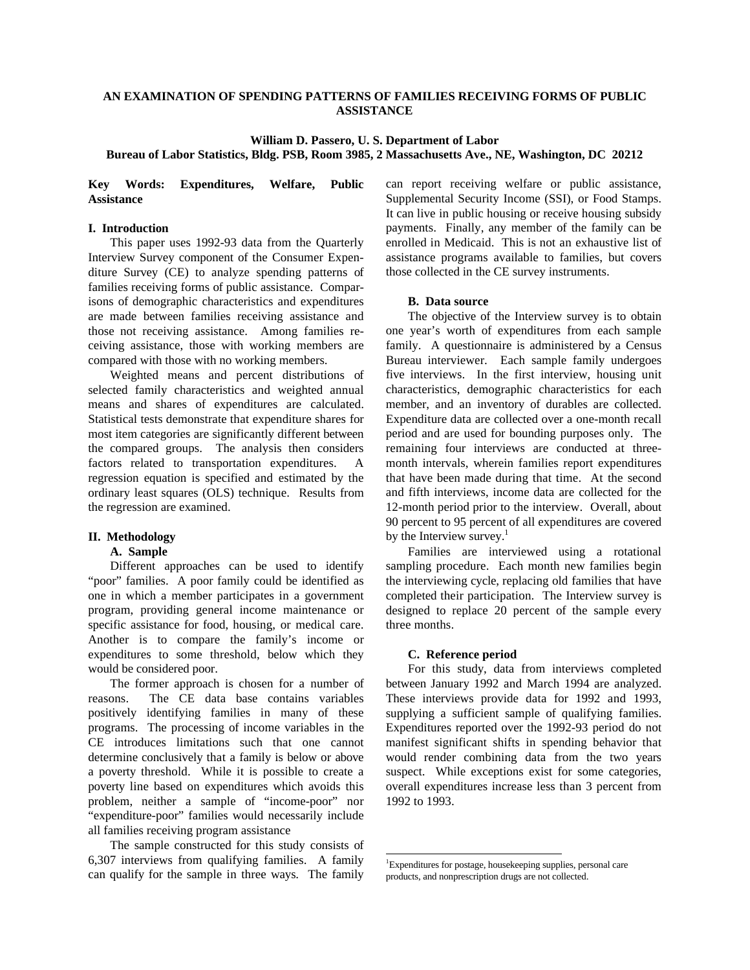## **AN EXAMINATION OF SPENDING PATTERNS OF FAMILIES RECEIVING FORMS OF PUBLIC ASSISTANCE**

# **William D. Passero, U. S. Department of Labor Bureau of Labor Statistics, Bldg. PSB, Room 3985, 2 Massachusetts Ave., NE, Washington, DC 20212**

## **Key Words: Expenditures, Welfare, Public Assistance**

#### **I. Introduction**

This paper uses 1992-93 data from the Quarterly Interview Survey component of the Consumer Expenditure Survey (CE) to analyze spending patterns of families receiving forms of public assistance. Comparisons of demographic characteristics and expenditures are made between families receiving assistance and those not receiving assistance. Among families receiving assistance, those with working members are compared with those with no working members.

Weighted means and percent distributions of selected family characteristics and weighted annual means and shares of expenditures are calculated. Statistical tests demonstrate that expenditure shares for most item categories are significantly different between the compared groups. The analysis then considers factors related to transportation expenditures. A regression equation is specified and estimated by the ordinary least squares (OLS) technique. Results from the regression are examined.

#### **II. Methodology**

### **A. Sample**

Different approaches can be used to identify "poor" families. A poor family could be identified as one in which a member participates in a government program, providing general income maintenance or specific assistance for food, housing, or medical care. Another is to compare the family's income or expenditures to some threshold, below which they would be considered poor.

The former approach is chosen for a number of reasons. The CE data base contains variables positively identifying families in many of these programs. The processing of income variables in the CE introduces limitations such that one cannot determine conclusively that a family is below or above a poverty threshold. While it is possible to create a poverty line based on expenditures which avoids this problem, neither a sample of "income-poor" nor "expenditure-poor" families would necessarily include all families receiving program assistance

The sample constructed for this study consists of 6,307 interviews from qualifying families. A family can qualify for the sample in three ways. The family can report receiving welfare or public assistance, Supplemental Security Income (SSI), or Food Stamps. It can live in public housing or receive housing subsidy payments. Finally, any member of the family can be enrolled in Medicaid. This is not an exhaustive list of assistance programs available to families, but covers those collected in the CE survey instruments.

#### **B. Data source**

The objective of the Interview survey is to obtain one year's worth of expenditures from each sample family. A questionnaire is administered by a Census Bureau interviewer. Each sample family undergoes five interviews. In the first interview, housing unit characteristics, demographic characteristics for each member, and an inventory of durables are collected. Expenditure data are collected over a one-month recall period and are used for bounding purposes only. The remaining four interviews are conducted at threemonth intervals, wherein families report expenditures that have been made during that time. At the second and fifth interviews, income data are collected for the 12-month period prior to the interview. Overall, about 90 percent to 95 percent of all expenditures are covered by the Interview survey. $<sup>1</sup>$ </sup>

Families are interviewed using a rotational sampling procedure. Each month new families begin the interviewing cycle, replacing old families that have completed their participation. The Interview survey is designed to replace 20 percent of the sample every three months.

#### **C. Reference period**

For this study, data from interviews completed between January 1992 and March 1994 are analyzed. These interviews provide data for 1992 and 1993, supplying a sufficient sample of qualifying families. Expenditures reported over the 1992-93 period do not manifest significant shifts in spending behavior that would render combining data from the two years suspect. While exceptions exist for some categories, overall expenditures increase less than 3 percent from 1992 to 1993.

 1 Expenditures for postage, housekeeping supplies, personal care products, and nonprescription drugs are not collected.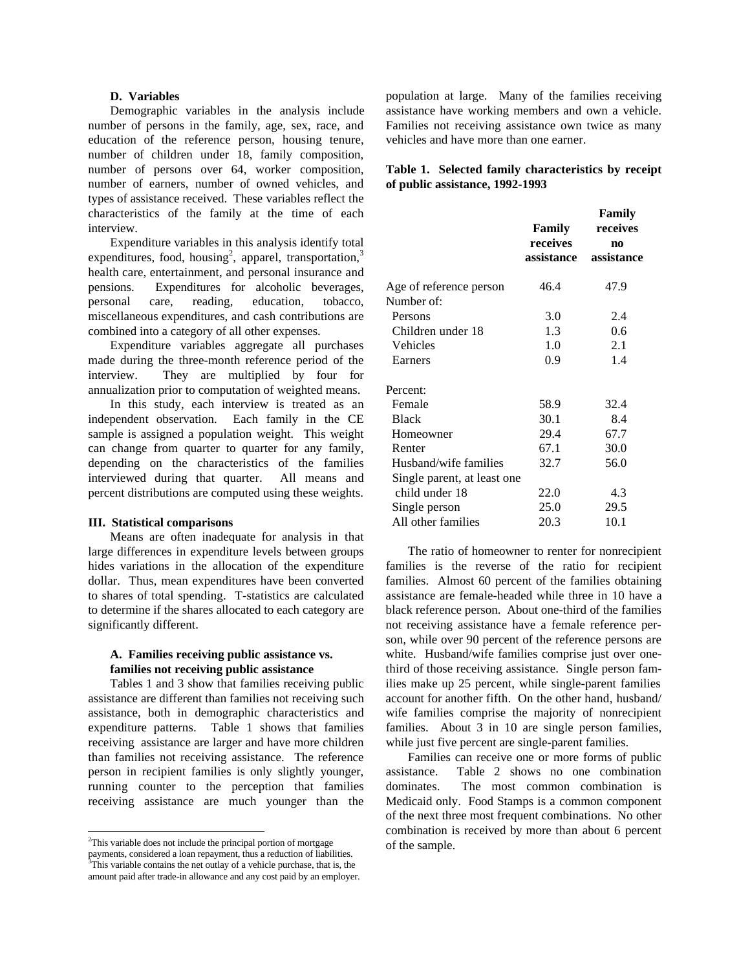### **D. Variables**

Demographic variables in the analysis include number of persons in the family, age, sex, race, and education of the reference person, housing tenure, number of children under 18, family composition, number of persons over 64, worker composition, number of earners, number of owned vehicles, and types of assistance received. These variables reflect the characteristics of the family at the time of each interview.

Expenditure variables in this analysis identify total expenditures, food, housing<sup>2</sup>, apparel, transportation,<sup>3</sup> health care, entertainment, and personal insurance and pensions. Expenditures for alcoholic beverages, personal care, reading, education, tobacco, miscellaneous expenditures, and cash contributions are combined into a category of all other expenses.

Expenditure variables aggregate all purchases made during the three-month reference period of the interview. They are multiplied by four for annualization prior to computation of weighted means.

In this study, each interview is treated as an independent observation. Each family in the CE sample is assigned a population weight. This weight can change from quarter to quarter for any family, depending on the characteristics of the families interviewed during that quarter. All means and percent distributions are computed using these weights.

#### **III. Statistical comparisons**

Means are often inadequate for analysis in that large differences in expenditure levels between groups hides variations in the allocation of the expenditure dollar. Thus, mean expenditures have been converted to shares of total spending. T-statistics are calculated to determine if the shares allocated to each category are significantly different.

## **A. Families receiving public assistance vs. families not receiving public assistance**

Tables 1 and 3 show that families receiving public assistance are different than families not receiving such assistance, both in demographic characteristics and expenditure patterns. Table 1 shows that families receiving assistance are larger and have more children than families not receiving assistance. The reference person in recipient families is only slightly younger, running counter to the perception that families receiving assistance are much younger than the

population at large. Many of the families receiving assistance have working members and own a vehicle. Families not receiving assistance own twice as many vehicles and have more than one earner.

# **Table 1. Selected family characteristics by receipt of public assistance, 1992-1993**

|                             | Family<br>receives<br>assistance | Family<br>receives |  |
|-----------------------------|----------------------------------|--------------------|--|
|                             |                                  | n0<br>assistance   |  |
|                             |                                  |                    |  |
| Age of reference person     | 46.4                             | 47.9               |  |
| Number of:                  |                                  |                    |  |
| Persons                     | 3.0                              | 2.4                |  |
| Children under 18           | 1.3                              | 0.6                |  |
| Vehicles                    | 1.0                              | 2.1                |  |
| Earners                     | 0.9                              | 1.4                |  |
| Percent:                    |                                  |                    |  |
| Female                      | 58.9                             | 32.4               |  |
| <b>Black</b>                | 30.1                             | 8.4                |  |
| Homeowner                   | 29.4                             | 67.7               |  |
| Renter                      | 67.1                             | 30.0               |  |
| Husband/wife families       | 32.7                             | 56.0               |  |
| Single parent, at least one |                                  |                    |  |
| child under 18              | 22.0                             | 4.3                |  |
| Single person               | 25.0                             | 29.5               |  |
| All other families          | 20.3                             | 10.1               |  |

The ratio of homeowner to renter for nonrecipient families is the reverse of the ratio for recipient families. Almost 60 percent of the families obtaining assistance are female-headed while three in 10 have a black reference person. About one-third of the families not receiving assistance have a female reference person, while over 90 percent of the reference persons are white. Husband/wife families comprise just over onethird of those receiving assistance. Single person families make up 25 percent, while single-parent families account for another fifth. On the other hand, husband/ wife families comprise the majority of nonrecipient families. About 3 in 10 are single person families, while just five percent are single-parent families.

Families can receive one or more forms of public assistance. Table 2 shows no one combination dominates. The most common combination is Medicaid only. Food Stamps is a common component of the next three most frequent combinations. No other combination is received by more than about 6 percent of the sample.

 2 This variable does not include the principal portion of mortgage payments, considered a loan repayment, thus a reduction of liabilities. 3 This variable contains the net outlay of a vehicle purchase, that is, the amount paid after trade-in allowance and any cost paid by an employer.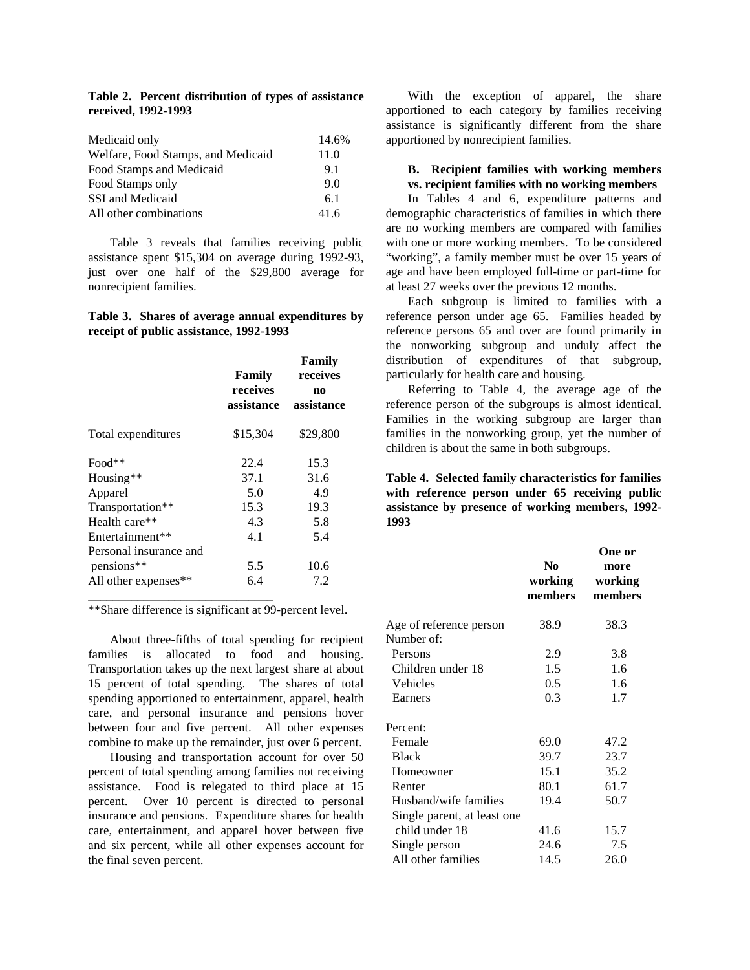**Table 2. Percent distribution of types of assistance received, 1992-1993**

| Medicaid only                      | 14.6% |
|------------------------------------|-------|
| Welfare, Food Stamps, and Medicaid | 11.0  |
| Food Stamps and Medicaid           | 9.1   |
| Food Stamps only                   | 9.0   |
| SSI and Medicaid                   | 6.1   |
| All other combinations             | 41.6  |

Table 3 reveals that families receiving public assistance spent \$15,304 on average during 1992-93, just over one half of the \$29,800 average for nonrecipient families.

### **Table 3. Shares of average annual expenditures by receipt of public assistance, 1992-1993**

|                        | Family<br>receives<br>assistance | Family<br>receives<br>n <sub>0</sub><br>assistance |
|------------------------|----------------------------------|----------------------------------------------------|
| Total expenditures     | \$15,304                         | \$29,800                                           |
| Food**                 | 22.4                             | 15.3                                               |
| Housing**              | 37.1                             | 31.6                                               |
| Apparel                | 5.0                              | 4.9                                                |
| Transportation**       | 15.3                             | 19.3                                               |
| Health care**          | 4.3                              | 5.8                                                |
| Entertainment**        | 4.1                              | 5.4                                                |
| Personal insurance and |                                  |                                                    |
| pensions**             | 5.5                              | 10.6                                               |
| All other expenses**   | 6.4                              | 7.2                                                |

\*\*Share difference is significant at 99-percent level.

About three-fifths of total spending for recipient families is allocated to food and housing. Transportation takes up the next largest share at about 15 percent of total spending. The shares of total spending apportioned to entertainment, apparel, health care, and personal insurance and pensions hover between four and five percent. All other expenses combine to make up the remainder, just over 6 percent.

Housing and transportation account for over 50 percent of total spending among families not receiving assistance. Food is relegated to third place at 15 percent. Over 10 percent is directed to personal insurance and pensions. Expenditure shares for health care, entertainment, and apparel hover between five and six percent, while all other expenses account for the final seven percent.

With the exception of apparel, the share apportioned to each category by families receiving assistance is significantly different from the share apportioned by nonrecipient families.

# **B. Recipient families with working members vs. recipient families with no working members**

In Tables 4 and 6, expenditure patterns and demographic characteristics of families in which there are no working members are compared with families with one or more working members. To be considered "working", a family member must be over 15 years of age and have been employed full-time or part-time for at least 27 weeks over the previous 12 months.

Each subgroup is limited to families with a reference person under age 65. Families headed by reference persons 65 and over are found primarily in the nonworking subgroup and unduly affect the distribution of expenditures of that subgroup, particularly for health care and housing.

Referring to Table 4, the average age of the reference person of the subgroups is almost identical. Families in the working subgroup are larger than families in the nonworking group, yet the number of children is about the same in both subgroups.

**Table 4. Selected family characteristics for families with reference person under 65 receiving public assistance by presence of working members, 1992- 1993**

|                             | No.<br>working<br>members | One or<br>more<br>working<br>members |
|-----------------------------|---------------------------|--------------------------------------|
| Age of reference person     | 38.9                      | 38.3                                 |
| Number of:                  |                           |                                      |
| Persons                     | 2.9                       | 3.8                                  |
| Children under 18           | 1.5                       | 1.6                                  |
| Vehicles                    | 0.5                       | 1.6                                  |
| Earners                     | 0.3                       | 1.7                                  |
| Percent:                    |                           |                                      |
| Female                      | 69.0                      | 47.2                                 |
| <b>Black</b>                | 39.7                      | 23.7                                 |
| Homeowner                   | 15.1                      | 35.2                                 |
| Renter                      | 80.1                      | 61.7                                 |
| Husband/wife families       | 19.4                      | 50.7                                 |
| Single parent, at least one |                           |                                      |
| child under 18              | 41.6                      | 15.7                                 |
| Single person               | 24.6                      | 7.5                                  |
| All other families          | 14.5                      | 26.0                                 |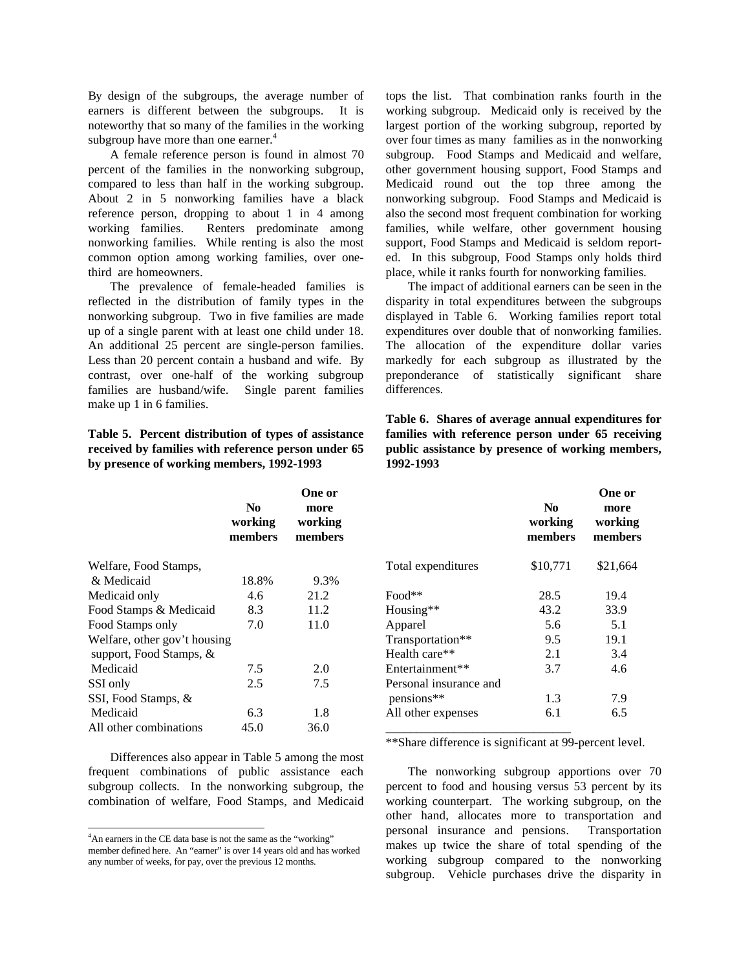By design of the subgroups, the average number of earners is different between the subgroups. It is noteworthy that so many of the families in the working subgroup have more than one earner.<sup>4</sup>

A female reference person is found in almost 70 percent of the families in the nonworking subgroup, compared to less than half in the working subgroup. About 2 in 5 nonworking families have a black reference person, dropping to about 1 in 4 among working families. Renters predominate among nonworking families. While renting is also the most common option among working families, over onethird are homeowners.

The prevalence of female-headed families is reflected in the distribution of family types in the nonworking subgroup. Two in five families are made up of a single parent with at least one child under 18. An additional 25 percent are single-person families. Less than 20 percent contain a husband and wife. By contrast, over one-half of the working subgroup families are husband/wife. Single parent families make up 1 in 6 families.

**Table 5. Percent distribution of types of assistance received by families with reference person under 65 by presence of working members, 1992-1993**

|                                                         | N <sub>0</sub><br>working<br>members | One or<br>more<br>working<br>members |
|---------------------------------------------------------|--------------------------------------|--------------------------------------|
| Welfare, Food Stamps,                                   |                                      |                                      |
| & Medicaid                                              | 18.8%                                | 9.3%                                 |
| Medicaid only                                           | 4.6                                  | 21.2                                 |
| Food Stamps & Medicaid                                  | 8.3                                  | 11.2                                 |
| Food Stamps only                                        | 7.0                                  | 11.0                                 |
| Welfare, other gov't housing<br>support, Food Stamps, & |                                      |                                      |
| Medicaid                                                | 7.5                                  | 2.0                                  |
| SSI only                                                | 2.5                                  | 7.5                                  |
| SSI, Food Stamps, &                                     |                                      |                                      |
| Medicaid                                                | 6.3                                  | 1.8                                  |
| All other combinations                                  | 45.0                                 | 36.0                                 |

Differences also appear in Table 5 among the most frequent combinations of public assistance each subgroup collects. In the nonworking subgroup, the combination of welfare, Food Stamps, and Medicaid

-

tops the list. That combination ranks fourth in the working subgroup. Medicaid only is received by the largest portion of the working subgroup, reported by over four times as many families as in the nonworking subgroup. Food Stamps and Medicaid and welfare, other government housing support, Food Stamps and Medicaid round out the top three among the nonworking subgroup. Food Stamps and Medicaid is also the second most frequent combination for working families, while welfare, other government housing support, Food Stamps and Medicaid is seldom reported. In this subgroup, Food Stamps only holds third place, while it ranks fourth for nonworking families.

The impact of additional earners can be seen in the disparity in total expenditures between the subgroups displayed in Table 6. Working families report total expenditures over double that of nonworking families. The allocation of the expenditure dollar varies markedly for each subgroup as illustrated by the preponderance of statistically significant share differences.

**Table 6. Shares of average annual expenditures for families with reference person under 65 receiving public assistance by presence of working members, 1992-1993**

|                        | N <sub>0</sub><br>working<br>members | One or<br>more<br>working<br>members |
|------------------------|--------------------------------------|--------------------------------------|
| Total expenditures     | \$10,771                             | \$21,664                             |
| Food**                 | 28.5                                 | 19.4                                 |
| Housing**              | 43.2                                 | 33.9                                 |
| Apparel                | 5.6                                  | 5.1                                  |
| Transportation**       | 9.5                                  | 19.1                                 |
| Health care**          | 2.1                                  | 3.4                                  |
| Entertainment**        | 3.7                                  | 4.6                                  |
| Personal insurance and |                                      |                                      |
| pensions**             | 1.3                                  | 7.9                                  |
| All other expenses     | 6.1                                  | 6.5                                  |

\*\*Share difference is significant at 99-percent level.

The nonworking subgroup apportions over 70 percent to food and housing versus 53 percent by its working counterpart. The working subgroup, on the other hand, allocates more to transportation and personal insurance and pensions. Transportation makes up twice the share of total spending of the working subgroup compared to the nonworking subgroup. Vehicle purchases drive the disparity in

<sup>&</sup>lt;sup>4</sup>An earners in the CE data base is not the same as the "working" member defined here. An "earner" is over 14 years old and has worked any number of weeks, for pay, over the previous 12 months.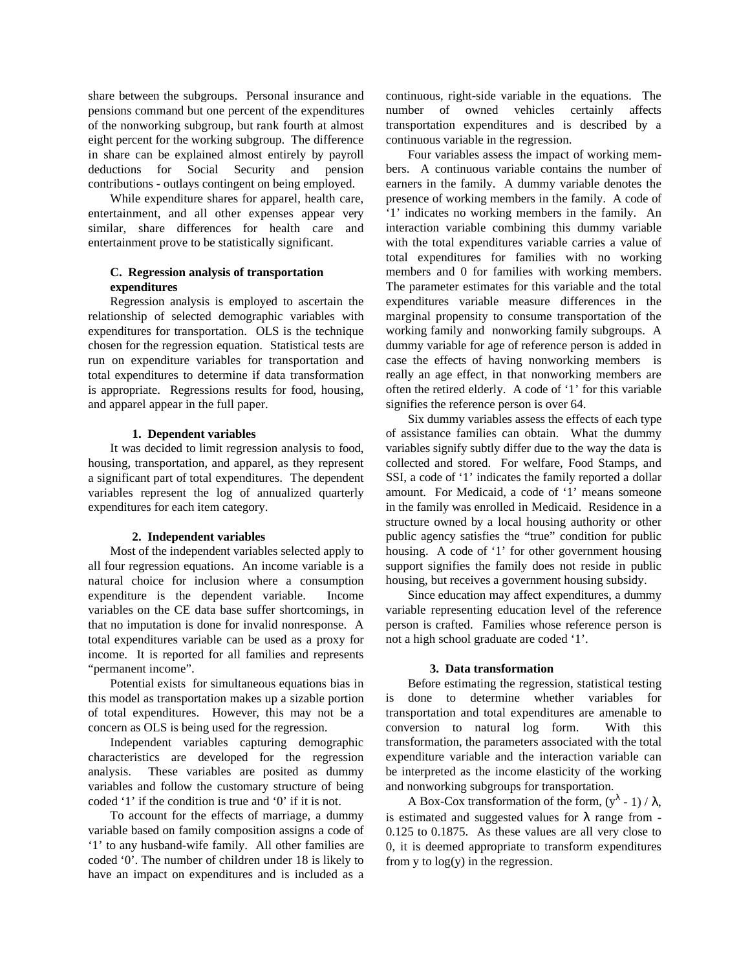share between the subgroups. Personal insurance and pensions command but one percent of the expenditures of the nonworking subgroup, but rank fourth at almost eight percent for the working subgroup. The difference in share can be explained almost entirely by payroll deductions for Social Security and pension contributions - outlays contingent on being employed.

While expenditure shares for apparel, health care, entertainment, and all other expenses appear very similar, share differences for health care and entertainment prove to be statistically significant.

# **C. Regression analysis of transportation expenditures**

Regression analysis is employed to ascertain the relationship of selected demographic variables with expenditures for transportation. OLS is the technique chosen for the regression equation. Statistical tests are run on expenditure variables for transportation and total expenditures to determine if data transformation is appropriate. Regressions results for food, housing, and apparel appear in the full paper.

## **1. Dependent variables**

It was decided to limit regression analysis to food, housing, transportation, and apparel, as they represent a significant part of total expenditures. The dependent variables represent the log of annualized quarterly expenditures for each item category.

# **2. Independent variables**

Most of the independent variables selected apply to all four regression equations. An income variable is a natural choice for inclusion where a consumption expenditure is the dependent variable. Income variables on the CE data base suffer shortcomings, in that no imputation is done for invalid nonresponse. A total expenditures variable can be used as a proxy for income. It is reported for all families and represents "permanent income".

Potential exists for simultaneous equations bias in this model as transportation makes up a sizable portion of total expenditures. However, this may not be a concern as OLS is being used for the regression.

Independent variables capturing demographic characteristics are developed for the regression analysis. These variables are posited as dummy variables and follow the customary structure of being coded '1' if the condition is true and '0' if it is not.

To account for the effects of marriage, a dummy variable based on family composition assigns a code of '1' to any husband-wife family. All other families are coded '0'. The number of children under 18 is likely to have an impact on expenditures and is included as a

continuous, right-side variable in the equations. The number of owned vehicles certainly affects transportation expenditures and is described by a continuous variable in the regression.

Four variables assess the impact of working members. A continuous variable contains the number of earners in the family. A dummy variable denotes the presence of working members in the family. A code of '1' indicates no working members in the family. An interaction variable combining this dummy variable with the total expenditures variable carries a value of total expenditures for families with no working members and 0 for families with working members. The parameter estimates for this variable and the total expenditures variable measure differences in the marginal propensity to consume transportation of the working family and nonworking family subgroups. A dummy variable for age of reference person is added in case the effects of having nonworking members is really an age effect, in that nonworking members are often the retired elderly. A code of '1' for this variable signifies the reference person is over 64.

Six dummy variables assess the effects of each type of assistance families can obtain. What the dummy variables signify subtly differ due to the way the data is collected and stored. For welfare, Food Stamps, and SSI, a code of '1' indicates the family reported a dollar amount. For Medicaid, a code of '1' means someone in the family was enrolled in Medicaid. Residence in a structure owned by a local housing authority or other public agency satisfies the "true" condition for public housing. A code of '1' for other government housing support signifies the family does not reside in public housing, but receives a government housing subsidy.

Since education may affect expenditures, a dummy variable representing education level of the reference person is crafted. Families whose reference person is not a high school graduate are coded '1'.

### **3. Data transformation**

Before estimating the regression, statistical testing is done to determine whether variables for transportation and total expenditures are amenable to conversion to natural log form. With this transformation, the parameters associated with the total expenditure variable and the interaction variable can be interpreted as the income elasticity of the working and nonworking subgroups for transportation.

A Box-Cox transformation of the form,  $(y^{\lambda} - 1) / \lambda$ , is estimated and suggested values for  $\lambda$  range from -0.125 to 0.1875. As these values are all very close to 0, it is deemed appropriate to transform expenditures from y to  $log(y)$  in the regression.